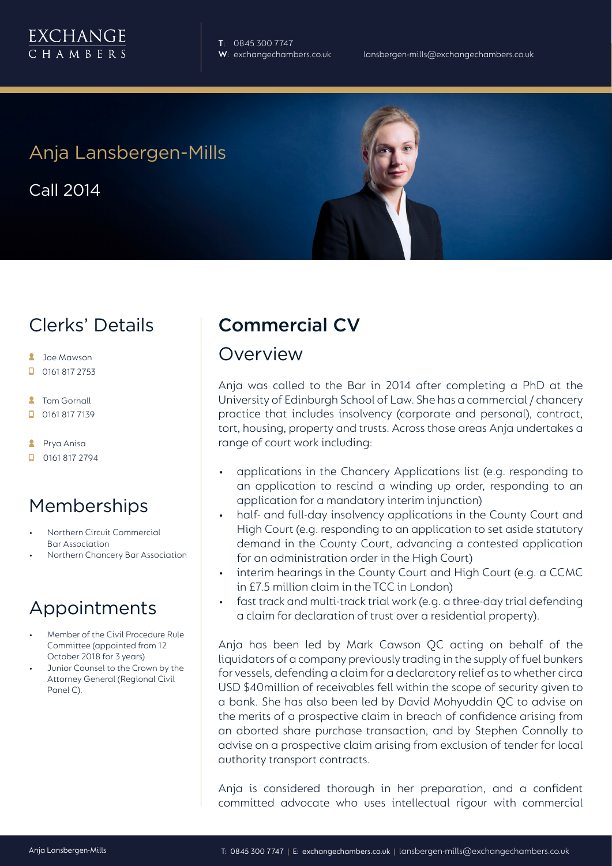

**T**: 0845 300 7747

## Anja Lansbergen-Mills

Call 2014



## Clerks' Details

- **2** Joe Mawson
- $\Box$  0161 817 2753
- **2** Tom Gornall
- 0161 817 7139
- **A** Prya Anisa
- $\Box$  0161 817 2794

# Memberships

- Northern Circuit Commercial Bar Association
- Northern Chancery Bar Association

# Appointments

- Member of the Civil Procedure Rule Committee (appointed from 12 October 2018 for 3 years)
- Junior Counsel to the Crown by the Attorney General (Regional Civil Panel C).

# Commercial CV

#### Overview

Anja was called to the Bar in 2014 after completing a PhD at the University of Edinburgh School of Law. She has a commercial / chancery practice that includes insolvency (corporate and personal), contract, tort, housing, property and trusts. Across those areas Anja undertakes a range of court work including:

- applications in the Chancery Applications list (e.g. responding to an application to rescind a winding up order, responding to an application for a mandatory interim injunction)
- half- and full-day insolvency applications in the County Court and High Court (e.g. responding to an application to set aside statutory demand in the County Court, advancing a contested application for an administration order in the High Court)
- interim hearings in the County Court and High Court (e.g. a CCMC in £7.5 million claim in the TCC in London)
- fast track and multi-track trial work (e.g. a three-day trial defending a claim for declaration of trust over a residential property).

Anja has been led by Mark Cawson QC acting on behalf of the liquidators of a company previously trading in the supply of fuel bunkers for vessels, defending a claim for a declaratory relief as to whether circa USD \$40million of receivables fell within the scope of security given to a bank. She has also been led by David Mohyuddin QC to advise on the merits of a prospective claim in breach of confidence arising from an aborted share purchase transaction, and by Stephen Connolly to advise on a prospective claim arising from exclusion of tender for local authority transport contracts.

Anja is considered thorough in her preparation, and a confident committed advocate who uses intellectual rigour with commercial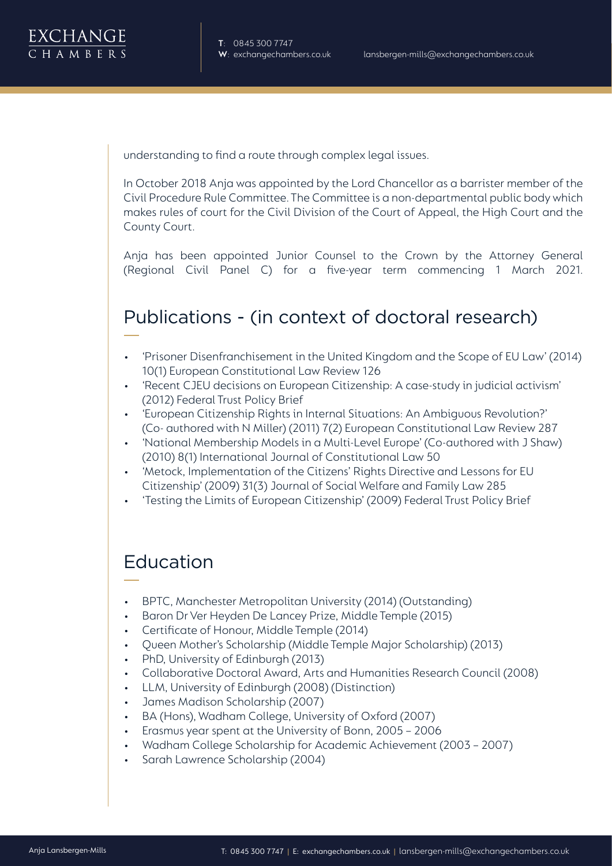understanding to find a route through complex legal issues.

In October 2018 Anja was appointed by the Lord Chancellor as a barrister member of the Civil Procedure Rule Committee. The Committee is a non-departmental public body which makes rules of court for the Civil Division of the Court of Appeal, the High Court and the County Court.

Anja has been appointed Junior Counsel to the Crown by the Attorney General (Regional Civil Panel C) for a five-year term commencing 1 March 2021.

# Publications - (in context of doctoral research)

- 'Prisoner Disenfranchisement in the United Kingdom and the Scope of EU Law' (2014) 10(1) European Constitutional Law Review 126
- 'Recent CJEU decisions on European Citizenship: A case-study in judicial activism' (2012) Federal Trust Policy Brief
- 'European Citizenship Rights in Internal Situations: An Ambiguous Revolution?' (Co- authored with N Miller) (2011) 7(2) European Constitutional Law Review 287
- 'National Membership Models in a Multi-Level Europe' (Co-authored with J Shaw) (2010) 8(1) International Journal of Constitutional Law 50
- 'Metock, Implementation of the Citizens' Rights Directive and Lessons for EU Citizenship' (2009) 31(3) Journal of Social Welfare and Family Law 285
- 'Testing the Limits of European Citizenship' (2009) Federal Trust Policy Brief

## Education

- BPTC, Manchester Metropolitan University (2014) (Outstanding)
- Baron Dr Ver Heyden De Lancey Prize, Middle Temple (2015)
- Certificate of Honour, Middle Temple (2014)
- Queen Mother's Scholarship (Middle Temple Major Scholarship) (2013)
- PhD, University of Edinburgh (2013)
- Collaborative Doctoral Award, Arts and Humanities Research Council (2008)
- LLM, University of Edinburgh (2008) (Distinction)
- James Madison Scholarship (2007)
- BA (Hons), Wadham College, University of Oxford (2007)
- Erasmus year spent at the University of Bonn, 2005 2006
- Wadham College Scholarship for Academic Achievement (2003 2007)
- Sarah Lawrence Scholarship (2004)